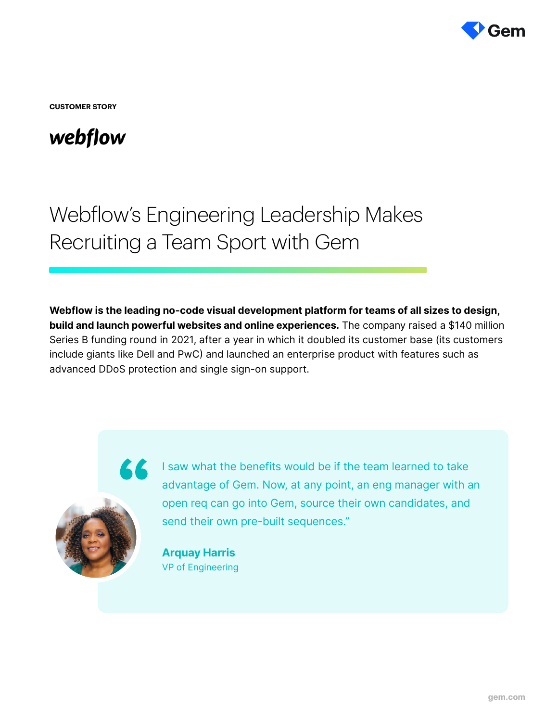

**CUSTOMER STORY**

## webflow

# Webflow's Engineering Leadership Makes Recruiting a Team Sport with Gem

Webflow is the leading no-code visual development platform for teams of all sizes to design, build and launch powerful websites and online experiences. The company raised a \$140 million Series B funding round in 2021, after a year in which it doubled its customer base (its customers include giants like Dell and PwC) and launched an enterprise product with features such as advanced DDoS protection and single sign-on support.

K K



I saw what the benefits would be if the team learned to take advantage of Gem. Now, at any point, an eng manager with an open req can go into Gem, source their own candidates, and send their own pre-built sequences."

Arquay Harris VP of Engineering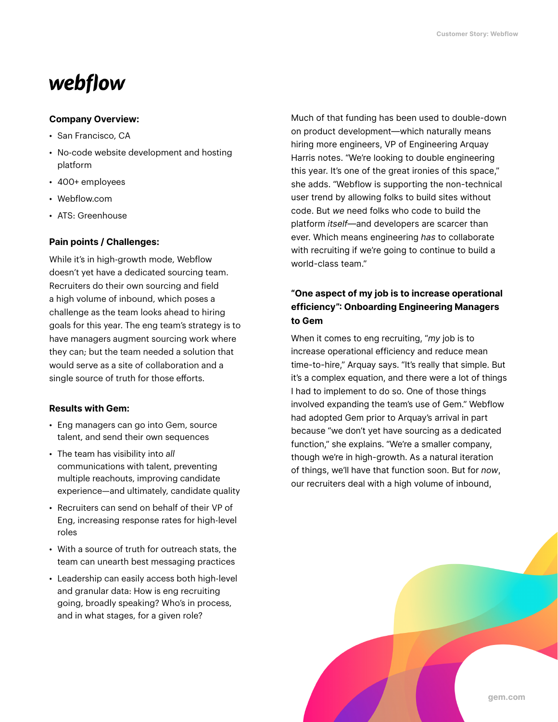## webflow

#### Company Overview:

- San Francisco, CA
- No-code website development and hosting platform
- 400+ employees
- Webflow.com
- ATS: Greenhouse

#### Pain points / Challenges:

While it's in high-growth mode, Webflow doesn't yet have a dedicated sourcing team. Recruiters do their own sourcing and field a high volume of inbound, which poses a challenge as the team looks ahead to hiring goals for this year. The eng team's strategy is to have managers augment sourcing work where they can; but the team needed a solution that would serve as a site of collaboration and a single source of truth for those efforts.

#### Results with Gem:

- Eng managers can go into Gem, source talent, and send their own sequences
- The team has visibility into *all* communications with talent, preventing multiple reachouts, improving candidate experience—and ultimately, candidate quality
- Recruiters can send on behalf of their VP of Eng, increasing response rates for high-level roles
- With a source of truth for outreach stats, the team can unearth best messaging practices
- Leadership can easily access both high-level and granular data: How is eng recruiting going, broadly speaking? Who's in process, and in what stages, for a given role?

Much of that funding has been used to double-down on product development—which naturally means hiring more engineers, VP of Engineering Arquay Harris notes. "We're looking to double engineering this year. It's one of the great ironies of this space," she adds. "Webflow is supporting the non-technical user trend by allowing folks to build sites without code. But we need folks who code to build the platform itself—and developers are scarcer than ever. Which means engineering has to collaborate with recruiting if we're going to continue to build a world-class team."

### "One aspect of my job is to increase operational efficiency": Onboarding Engineering Managers to Gem

When it comes to eng recruiting, "my job is to increase operational efficiency and reduce mean time-to-hire," Arquay says. "It's really that simple. But it's a complex equation, and there were a lot of things I had to implement to do so. One of those things involved expanding the team's use of Gem." Webflow had adopted Gem prior to Arquay's arrival in part because "we don't yet have sourcing as a dedicated function," she explains. "We're a smaller company, though we're in high-growth. As a natural iteration of things, we'll have that function soon. But for now, our recruiters deal with a high volume of inbound,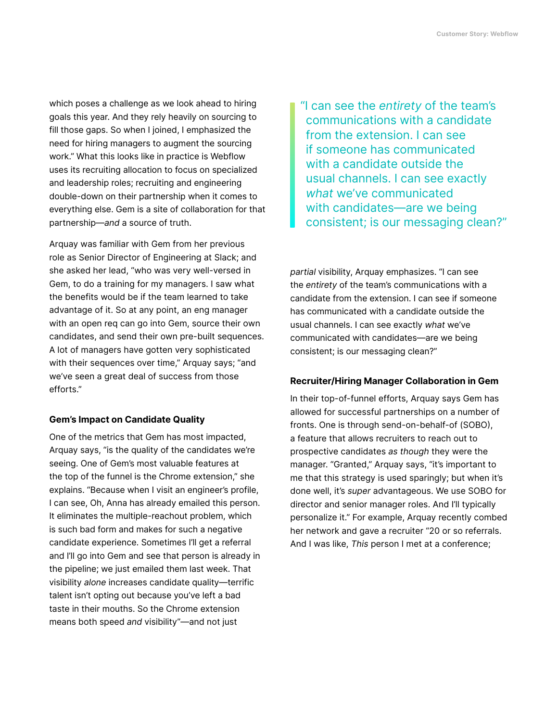which poses a challenge as we look ahead to hiring goals this year. And they rely heavily on sourcing to fill those gaps. So when I joined, I emphasized the need for hiring managers to augment the sourcing work." What this looks like in practice is Webflow uses its recruiting allocation to focus on specialized and leadership roles; recruiting and engineering double-down on their partnership when it comes to everything else. Gem is a site of collaboration for that partnership—and a source of truth.

Arquay was familiar with Gem from her previous role as Senior Director of Engineering at Slack; and she asked her lead, "who was very well-versed in Gem, to do a training for my managers. I saw what the benefits would be if the team learned to take advantage of it. So at any point, an eng manager with an open req can go into Gem, source their own candidates, and send their own pre-built sequences. A lot of managers have gotten very sophisticated with their sequences over time," Arquay says; "and we've seen a great deal of success from those efforts."

#### Gem's Impact on Candidate Quality

One of the metrics that Gem has most impacted, Arquay says, "is the quality of the candidates we're seeing. One of Gem's most valuable features at the top of the funnel is the Chrome extension," she explains. "Because when I visit an engineer's profile, I can see, Oh, Anna has already emailed this person. It eliminates the multiple-reachout problem, which is such bad form and makes for such a negative candidate experience. Sometimes I'll get a referral and I'll go into Gem and see that person is already in the pipeline; we just emailed them last week. That visibility alone increases candidate quality—terrific talent isn't opting out because you've left a bad taste in their mouths. So the Chrome extension means both speed and visibility"—and not just

"I can see the entirety of the team's communications with a candidate from the extension. I can see if someone has communicated with a candidate outside the usual channels. I can see exactly what we've communicated with candidates—are we being consistent; is our messaging clean?"

partial visibility, Arquay emphasizes. "I can see the entirety of the team's communications with a candidate from the extension. I can see if someone has communicated with a candidate outside the usual channels. I can see exactly what we've communicated with candidates—are we being consistent; is our messaging clean?"

#### Recruiter/Hiring Manager Collaboration in Gem

In their top-of-funnel efforts, Arquay says Gem has allowed for successful partnerships on a number of fronts. One is through send-on-behalf-of (SOBO), a feature that allows recruiters to reach out to prospective candidates as though they were the manager. "Granted," Arquay says, "it's important to me that this strategy is used sparingly; but when it's done well, it's super advantageous. We use SOBO for director and senior manager roles. And I'll typically personalize it." For example, Arquay recently combed her network and gave a recruiter "20 or so referrals. And I was like, This person I met at a conference;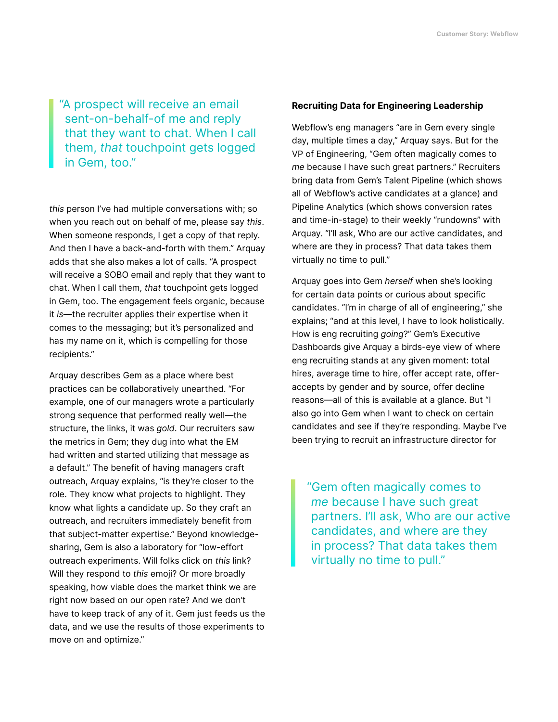"A prospect will receive an email sent-on-behalf-of me and reply that they want to chat. When I call them, that touchpoint gets logged in Gem, too."

this person I've had multiple conversations with; so when you reach out on behalf of me, please say this. When someone responds, I get a copy of that reply. And then I have a back-and-forth with them." Arquay adds that she also makes a lot of calls. "A prospect will receive a SOBO email and reply that they want to chat. When I call them, that touchpoint gets logged in Gem, too. The engagement feels organic, because it is—the recruiter applies their expertise when it comes to the messaging; but it's personalized and has my name on it, which is compelling for those recipients."

Arquay describes Gem as a place where best practices can be collaboratively unearthed. "For example, one of our managers wrote a particularly strong sequence that performed really well—the structure, the links, it was gold. Our recruiters saw the metrics in Gem; they dug into what the EM had written and started utilizing that message as a default." The benefit of having managers craft outreach, Arquay explains, "is they're closer to the role. They know what projects to highlight. They know what lights a candidate up. So they craft an outreach, and recruiters immediately benefit from that subject-matter expertise." Beyond knowledgesharing, Gem is also a laboratory for "low-effort outreach experiments. Will folks click on this link? Will they respond to this emoji? Or more broadly speaking, how viable does the market think we are right now based on our open rate? And we don't have to keep track of any of it. Gem just feeds us the data, and we use the results of those experiments to move on and optimize."

#### Recruiting Data for Engineering Leadership

Webflow's eng managers "are in Gem every single day, multiple times a day," Arquay says. But for the VP of Engineering, "Gem often magically comes to me because I have such great partners." Recruiters bring data from Gem's Talent Pipeline (which shows all of Webflow's active candidates at a glance) and Pipeline Analytics (which shows conversion rates and time-in-stage) to their weekly "rundowns" with Arquay. "I'll ask, Who are our active candidates, and where are they in process? That data takes them virtually no time to pull."

Arquay goes into Gem herself when she's looking for certain data points or curious about specific candidates. "I'm in charge of all of engineering," she explains; "and at this level, I have to look holistically. How is eng recruiting going?" Gem's Executive Dashboards give Arquay a birds-eye view of where eng recruiting stands at any given moment: total hires, average time to hire, offer accept rate, offeraccepts by gender and by source, offer decline reasons—all of this is available at a glance. But "I also go into Gem when I want to check on certain candidates and see if they're responding. Maybe I've been trying to recruit an infrastructure director for

"Gem often magically comes to me because I have such great partners. I'll ask, Who are our active candidates, and where are they in process? That data takes them virtually no time to pull."